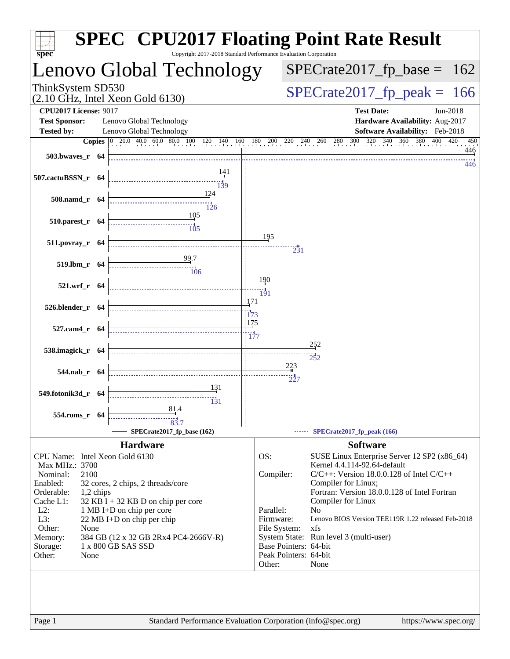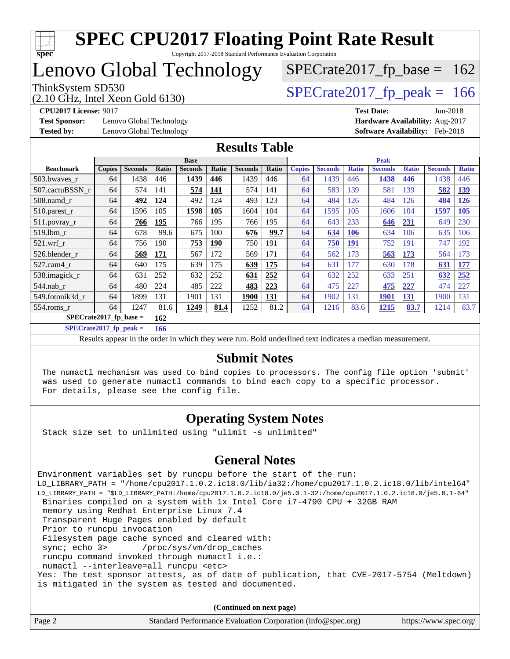

### Lenovo Global Technology

(2.10 GHz, Intel Xeon Gold 6130)

ThinkSystem SD530<br>  $(2.10 \text{ GHz})$  Intel Xeon Gold 6130)

 $SPECTate2017_fp\_base = 162$ 

**[Test Sponsor:](http://www.spec.org/auto/cpu2017/Docs/result-fields.html#TestSponsor)** Lenovo Global Technology **[Hardware Availability:](http://www.spec.org/auto/cpu2017/Docs/result-fields.html#HardwareAvailability)** Aug-2017 **[Tested by:](http://www.spec.org/auto/cpu2017/Docs/result-fields.html#Testedby)** Lenovo Global Technology **[Software Availability:](http://www.spec.org/auto/cpu2017/Docs/result-fields.html#SoftwareAvailability)** Feb-2018

**[CPU2017 License:](http://www.spec.org/auto/cpu2017/Docs/result-fields.html#CPU2017License)** 9017 **[Test Date:](http://www.spec.org/auto/cpu2017/Docs/result-fields.html#TestDate)** Jun-2018

#### **[Results Table](http://www.spec.org/auto/cpu2017/Docs/result-fields.html#ResultsTable)**

|                                 | <b>Base</b>   |                |       |                | <b>Peak</b> |                |            |               |                |              |                |              |                |              |
|---------------------------------|---------------|----------------|-------|----------------|-------------|----------------|------------|---------------|----------------|--------------|----------------|--------------|----------------|--------------|
| <b>Benchmark</b>                | <b>Copies</b> | <b>Seconds</b> | Ratio | <b>Seconds</b> | Ratio       | <b>Seconds</b> | Ratio      | <b>Copies</b> | <b>Seconds</b> | <b>Ratio</b> | <b>Seconds</b> | <b>Ratio</b> | <b>Seconds</b> | <b>Ratio</b> |
| 503.bwayes r                    | 64            | 1438           | 446   | 1439           | 446         | 1439           | 446        | 64            | 1439           | 446          | 1438           | 446          | 1438           | 446          |
| 507.cactuBSSN r                 | 64            | 574            | 141   | 574            | <b>141</b>  | 574            | 141        | 64            | 583            | 139          | 581            | 139          | 582            | <u>139</u>   |
| $508$ .namd $r$                 | 64            | 492            | 124   | 492            | 124         | 493            | 123        | 64            | 484            | 126          | 484            | 126          | 484            | <b>126</b>   |
| 510.parest_r                    | 64            | 1596           | 105   | 1598           | 105         | 1604           | 104        | 64            | 1595           | 105          | 1606           | 104          | 1597           | 105          |
| 511.povray_r                    | 64            | 766            | 195   | 766            | 195         | 766            | 195        | 64            | 643            | 233          | 646            | <b>231</b>   | 649            | 230          |
| 519.1bm r                       | 64            | 678            | 99.6  | 675            | 100         | 676            | 99.7       | 64            | 634            | 106          | 634            | 106          | 635            | 106          |
| $521$ .wrf r                    | 64            | 756            | 190   | 753            | <b>190</b>  | 750            | 191        | 64            | 750            | <u>191</u>   | 752            | 191          | 747            | 192          |
| 526.blender r                   | 64            | 569            | 171   | 567            | 172         | 569            | 171        | 64            | 562            | 173          | 563            | 173          | 564            | 173          |
| 527.cam4 r                      | 64            | 640            | 175   | 639            | 175         | 639            | 175        | 64            | 631            | 177          | 630            | 178          | 631            | 177          |
| 538.imagick_r                   | 64            | 631            | 252   | 632            | 252         | 631            | 252        | 64            | 632            | 252          | 633            | 251          | 632            | 252          |
| $544$ .nab r                    | 64            | 480            | 224   | 485            | 222         | 483            | 223        | 64            | 475            | 227          | 475            | 227          | 474            | 227          |
| 549.fotonik3d r                 | 64            | 1899           | 131   | 1901           | 131         | 1900           | <u>131</u> | 64            | 1902           | 131          | 1901           | <u>131</u>   | 1900           | 131          |
| $554$ .roms $r$                 | 64            | 1247           | 81.6  | 1249           | 81.4        | 1252           | 81.2       | 64            | 1216           | 83.6         | 1215           | 83.7         | 1214           | 83.7         |
| $SPECrate2017$ fp base =<br>162 |               |                |       |                |             |                |            |               |                |              |                |              |                |              |

**[SPECrate2017\\_fp\\_peak =](http://www.spec.org/auto/cpu2017/Docs/result-fields.html#SPECrate2017fppeak) 166**

Results appear in the [order in which they were run.](http://www.spec.org/auto/cpu2017/Docs/result-fields.html#RunOrder) Bold underlined text [indicates a median measurement.](http://www.spec.org/auto/cpu2017/Docs/result-fields.html#Median)

#### **[Submit Notes](http://www.spec.org/auto/cpu2017/Docs/result-fields.html#SubmitNotes)**

 The numactl mechanism was used to bind copies to processors. The config file option 'submit' was used to generate numactl commands to bind each copy to a specific processor. For details, please see the config file.

#### **[Operating System Notes](http://www.spec.org/auto/cpu2017/Docs/result-fields.html#OperatingSystemNotes)**

Stack size set to unlimited using "ulimit -s unlimited"

#### **[General Notes](http://www.spec.org/auto/cpu2017/Docs/result-fields.html#GeneralNotes)**

Environment variables set by runcpu before the start of the run: LD\_LIBRARY\_PATH = "/home/cpu2017.1.0.2.ic18.0/lib/ia32:/home/cpu2017.1.0.2.ic18.0/lib/intel64" LD\_LIBRARY\_PATH = "\$LD\_LIBRARY\_PATH:/home/cpu2017.1.0.2.ic18.0/je5.0.1-32:/home/cpu2017.1.0.2.ic18.0/je5.0.1-64" Binaries compiled on a system with 1x Intel Core i7-4790 CPU + 32GB RAM memory using Redhat Enterprise Linux 7.4 Transparent Huge Pages enabled by default Prior to runcpu invocation Filesystem page cache synced and cleared with: sync; echo 3> /proc/sys/vm/drop\_caches runcpu command invoked through numactl i.e.: numactl --interleave=all runcpu <etc> Yes: The test sponsor attests, as of date of publication, that CVE-2017-5754 (Meltdown) is mitigated in the system as tested and documented.

**(Continued on next page)**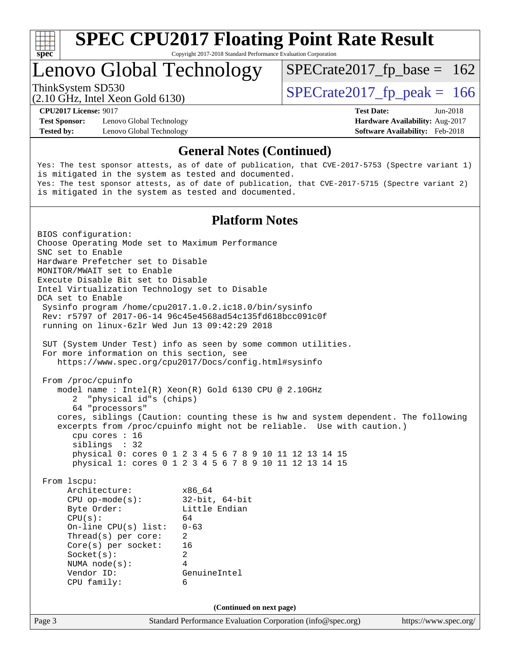

Copyright 2017-2018 Standard Performance Evaluation Corporation

### Lenovo Global Technology

ThinkSystem SD530<br>  $(2.10 \text{ GHz})$  Intel Yean Gold 6130)

 $SPECTate2017_fp\_base = 162$ 

(2.10 GHz, Intel Xeon Gold 6130)

**[Test Sponsor:](http://www.spec.org/auto/cpu2017/Docs/result-fields.html#TestSponsor)** Lenovo Global Technology **[Hardware Availability:](http://www.spec.org/auto/cpu2017/Docs/result-fields.html#HardwareAvailability)** Aug-2017 **[Tested by:](http://www.spec.org/auto/cpu2017/Docs/result-fields.html#Testedby)** Lenovo Global Technology **[Software Availability:](http://www.spec.org/auto/cpu2017/Docs/result-fields.html#SoftwareAvailability)** Feb-2018

**[CPU2017 License:](http://www.spec.org/auto/cpu2017/Docs/result-fields.html#CPU2017License)** 9017 **[Test Date:](http://www.spec.org/auto/cpu2017/Docs/result-fields.html#TestDate)** Jun-2018

#### **[General Notes \(Continued\)](http://www.spec.org/auto/cpu2017/Docs/result-fields.html#GeneralNotes)**

Yes: The test sponsor attests, as of date of publication, that CVE-2017-5753 (Spectre variant 1) is mitigated in the system as tested and documented. Yes: The test sponsor attests, as of date of publication, that CVE-2017-5715 (Spectre variant 2) is mitigated in the system as tested and documented.

#### **[Platform Notes](http://www.spec.org/auto/cpu2017/Docs/result-fields.html#PlatformNotes)**

Page 3 Standard Performance Evaluation Corporation [\(info@spec.org\)](mailto:info@spec.org) <https://www.spec.org/> BIOS configuration: Choose Operating Mode set to Maximum Performance SNC set to Enable Hardware Prefetcher set to Disable MONITOR/MWAIT set to Enable Execute Disable Bit set to Disable Intel Virtualization Technology set to Disable DCA set to Enable Sysinfo program /home/cpu2017.1.0.2.ic18.0/bin/sysinfo Rev: r5797 of 2017-06-14 96c45e4568ad54c135fd618bcc091c0f running on linux-6zlr Wed Jun 13 09:42:29 2018 SUT (System Under Test) info as seen by some common utilities. For more information on this section, see <https://www.spec.org/cpu2017/Docs/config.html#sysinfo> From /proc/cpuinfo model name : Intel(R) Xeon(R) Gold 6130 CPU @ 2.10GHz 2 "physical id"s (chips) 64 "processors" cores, siblings (Caution: counting these is hw and system dependent. The following excerpts from /proc/cpuinfo might not be reliable. Use with caution.) cpu cores : 16 siblings : 32 physical 0: cores 0 1 2 3 4 5 6 7 8 9 10 11 12 13 14 15 physical 1: cores 0 1 2 3 4 5 6 7 8 9 10 11 12 13 14 15 From lscpu: Architecture: x86\_64 CPU op-mode(s): 32-bit, 64-bit Byte Order: Little Endian  $CPU(s):$  64 On-line CPU(s) list: 0-63 Thread(s) per core: 2 Core(s) per socket: 16 Socket(s): 2 NUMA node(s): 4 Vendor ID: GenuineIntel CPU family: 6 **(Continued on next page)**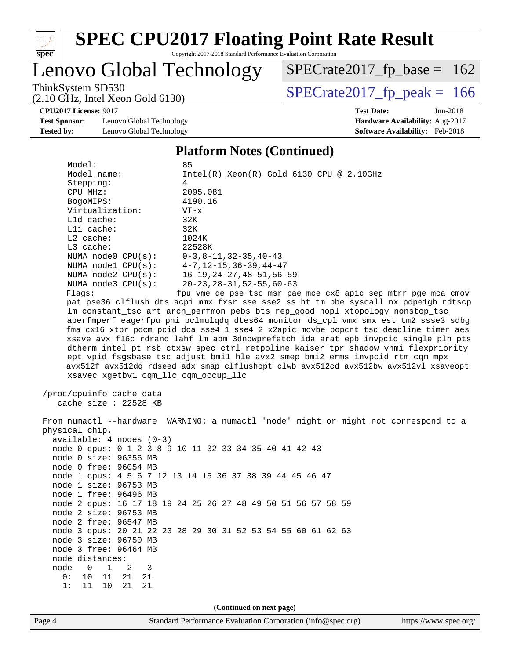

Copyright 2017-2018 Standard Performance Evaluation Corporation

### Lenovo Global Technology

ThinkSystem SD530<br>(2.10 GHz, Intel Xeon Gold 6130) [SPECrate2017\\_fp\\_peak =](http://www.spec.org/auto/cpu2017/Docs/result-fields.html#SPECrate2017fppeak) 166

 $SPECTate2017_fp\_base = 162$ 

**[CPU2017 License:](http://www.spec.org/auto/cpu2017/Docs/result-fields.html#CPU2017License)** 9017 **[Test Date:](http://www.spec.org/auto/cpu2017/Docs/result-fields.html#TestDate)** Jun-2018

**[Test Sponsor:](http://www.spec.org/auto/cpu2017/Docs/result-fields.html#TestSponsor)** Lenovo Global Technology **[Hardware Availability:](http://www.spec.org/auto/cpu2017/Docs/result-fields.html#HardwareAvailability)** Aug-2017 **[Tested by:](http://www.spec.org/auto/cpu2017/Docs/result-fields.html#Testedby)** Lenovo Global Technology **[Software Availability:](http://www.spec.org/auto/cpu2017/Docs/result-fields.html#SoftwareAvailability)** Feb-2018

(2.10 GHz, Intel Xeon Gold 6130)

### **[Platform Notes \(Continued\)](http://www.spec.org/auto/cpu2017/Docs/result-fields.html#PlatformNotes)**

| Model:                                          | 85                                                                                  |
|-------------------------------------------------|-------------------------------------------------------------------------------------|
| Model name:                                     | $Intel(R)$ Xeon $(R)$ Gold 6130 CPU @ 2.10GHz                                       |
| Stepping:                                       | 4                                                                                   |
| CPU MHz:                                        | 2095.081                                                                            |
| BogoMIPS:                                       | 4190.16                                                                             |
| Virtualization:                                 | $VT - x$                                                                            |
| $L1d$ cache:                                    | 32K                                                                                 |
| $L1i$ cache:                                    | 32K                                                                                 |
| $L2$ cache:                                     | 1024K                                                                               |
| $L3$ cache:                                     | 22528K                                                                              |
| NUMA $node0$ $CPU(s):$                          | $0 - 3$ , 8 - 11, 32 - 35, 40 - 43                                                  |
| NUMA nodel $CPU(s):$ $4-7, 12-15, 36-39, 44-47$ |                                                                                     |
|                                                 | NUMA node2 $CPU(s):$ 16-19, 24-27, 48-51, 56-59                                     |
| NUMA $node3$ $CPU(s):$                          | 20-23,28-31,52-55,60-63                                                             |
| Flaqs:                                          | fpu vme de pse tsc msr pae mce cx8 apic sep mtrr pqe mca cmov                       |
|                                                 | pat pse36 clflush dts acpi mmx fxsr sse sse2 ss ht tm pbe syscall nx pdpe1qb rdtscp |
|                                                 | Im constant tsc art arch perfmon pebs bts rep good nopl xtopology nonstop tsc       |
|                                                 | aperfmperf eagerfpu pni pclmulgdg dtes64 monitor ds cpl vmx smx est tm2 ssse3 sdbg  |
|                                                 |                                                                                     |

 fma cx16 xtpr pdcm pcid dca sse4\_1 sse4\_2 x2apic movbe popcnt tsc\_deadline\_timer aes xsave avx f16c rdrand lahf\_lm abm 3dnowprefetch ida arat epb invpcid\_single pln pts dtherm intel\_pt rsb\_ctxsw spec\_ctrl retpoline kaiser tpr\_shadow vnmi flexpriority ept vpid fsgsbase tsc\_adjust bmi1 hle avx2 smep bmi2 erms invpcid rtm cqm mpx avx512f avx512dq rdseed adx smap clflushopt clwb avx512cd avx512bw avx512vl xsaveopt xsavec xgetbv1 cqm\_llc cqm\_occup\_llc

 /proc/cpuinfo cache data cache size : 22528 KB

 From numactl --hardware WARNING: a numactl 'node' might or might not correspond to a physical chip. available: 4 nodes (0-3) node 0 cpus: 0 1 2 3 8 9 10 11 32 33 34 35 40 41 42 43 node 0 size: 96356 MB node 0 free: 96054 MB node 1 cpus: 4 5 6 7 12 13 14 15 36 37 38 39 44 45 46 47 node 1 size: 96753 MB node 1 free: 96496 MB node 2 cpus: 16 17 18 19 24 25 26 27 48 49 50 51 56 57 58 59 node 2 size: 96753 MB node 2 free: 96547 MB node 3 cpus: 20 21 22 23 28 29 30 31 52 53 54 55 60 61 62 63 node 3 size: 96750 MB node 3 free: 96464 MB node distances: node 0 1 2 3 0: 10 11 21 21 1: 11 10 21 21 **(Continued on next page)**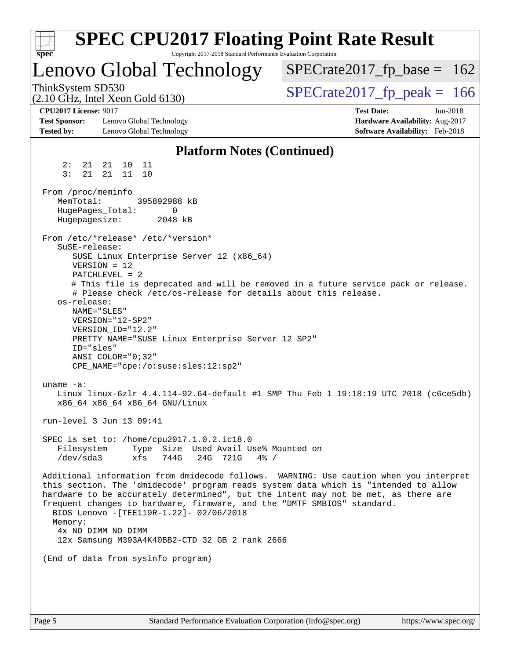| $spec^*$                                                                  | <b>SPEC CPU2017 Floating Point Rate Result</b><br>Copyright 2017-2018 Standard Performance Evaluation Corporation                                                                                                                                                                                                     |                                                                                                       |
|---------------------------------------------------------------------------|-----------------------------------------------------------------------------------------------------------------------------------------------------------------------------------------------------------------------------------------------------------------------------------------------------------------------|-------------------------------------------------------------------------------------------------------|
|                                                                           | Lenovo Global Technology                                                                                                                                                                                                                                                                                              | $SPECrate2017_fp\_base = 162$                                                                         |
| ThinkSystem SD530                                                         | $(2.10 \text{ GHz}, \text{Intel Xeon Gold } 6130)$                                                                                                                                                                                                                                                                    | $SPECTate2017$ _fp_peak = 166                                                                         |
| <b>CPU2017 License: 9017</b><br><b>Test Sponsor:</b><br><b>Tested by:</b> | Lenovo Global Technology<br>Lenovo Global Technology                                                                                                                                                                                                                                                                  | <b>Test Date:</b><br>$Jun-2018$<br>Hardware Availability: Aug-2017<br>Software Availability: Feb-2018 |
|                                                                           | <b>Platform Notes (Continued)</b>                                                                                                                                                                                                                                                                                     |                                                                                                       |
| 2:<br>21<br>3:<br>21                                                      | 21<br>10<br>11<br>21<br>11<br>10                                                                                                                                                                                                                                                                                      |                                                                                                       |
| From /proc/meminfo<br>MemTotal:<br>HugePages_Total:<br>Hugepagesize:      | 395892988 kB<br>0<br>2048 kB                                                                                                                                                                                                                                                                                          |                                                                                                       |
| SuSE-release:<br>os-release:                                              | From /etc/*release* /etc/*version*<br>SUSE Linux Enterprise Server 12 (x86_64)<br>$VERSION = 12$<br>PATCHLEVEL = 2<br># Please check /etc/os-release for details about this release.                                                                                                                                  | # This file is deprecated and will be removed in a future service pack or release.                    |
| ID="sles"                                                                 | NAME="SLES"<br>VERSION="12-SP2"<br>VERSION_ID="12.2"<br>PRETTY_NAME="SUSE Linux Enterprise Server 12 SP2"<br>ANSI COLOR="0;32"<br>CPE_NAME="cpe:/o:suse:sles:12:sp2"                                                                                                                                                  |                                                                                                       |
| uname $-a$ :                                                              | x86 64 x86 64 x86 64 GNU/Linux                                                                                                                                                                                                                                                                                        | Linux linux-6zlr 4.4.114-92.64-default #1 SMP Thu Feb 1 19:18:19 UTC 2018 (c6ce5db)                   |
|                                                                           | run-level 3 Jun 13 09:41                                                                                                                                                                                                                                                                                              |                                                                                                       |
| Filesystem<br>/dev/sda3                                                   | SPEC is set to: /home/cpu2017.1.0.2.ic18.0<br>Type Size Used Avail Use% Mounted on<br>xfs<br>744G<br>24G 721G<br>$4\%$ /                                                                                                                                                                                              |                                                                                                       |
| Memory:                                                                   | this section. The 'dmidecode' program reads system data which is "intended to allow<br>hardware to be accurately determined", but the intent may not be met, as there are<br>frequent changes to hardware, firmware, and the "DMTF SMBIOS" standard.<br>BIOS Lenovo -[TEE119R-1.22]- 02/06/2018<br>4x NO DIMM NO DIMM | Additional information from dmidecode follows. WARNING: Use caution when you interpret                |
|                                                                           | 12x Samsung M393A4K40BB2-CTD 32 GB 2 rank 2666                                                                                                                                                                                                                                                                        |                                                                                                       |
|                                                                           | (End of data from sysinfo program)                                                                                                                                                                                                                                                                                    |                                                                                                       |
|                                                                           |                                                                                                                                                                                                                                                                                                                       |                                                                                                       |
|                                                                           |                                                                                                                                                                                                                                                                                                                       |                                                                                                       |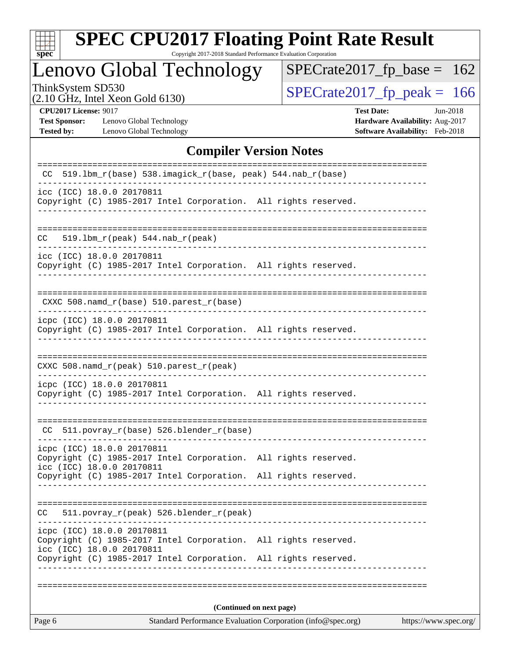

Copyright 2017-2018 Standard Performance Evaluation Corporation

### Lenovo Global Technology

ThinkSystem SD530<br>  $(2.10 \text{ GHz})$  Intel Xeon Gold 6130)

 $SPECrate2017_fp\_base = 162$ 

(2.10 GHz, Intel Xeon Gold 6130)

**[Test Sponsor:](http://www.spec.org/auto/cpu2017/Docs/result-fields.html#TestSponsor)** Lenovo Global Technology **[Hardware Availability:](http://www.spec.org/auto/cpu2017/Docs/result-fields.html#HardwareAvailability)** Aug-2017 **[Tested by:](http://www.spec.org/auto/cpu2017/Docs/result-fields.html#Testedby)** Lenovo Global Technology **[Software Availability:](http://www.spec.org/auto/cpu2017/Docs/result-fields.html#SoftwareAvailability)** Feb-2018

**[CPU2017 License:](http://www.spec.org/auto/cpu2017/Docs/result-fields.html#CPU2017License)** 9017 **[Test Date:](http://www.spec.org/auto/cpu2017/Docs/result-fields.html#TestDate)** Jun-2018

#### **[Compiler Version Notes](http://www.spec.org/auto/cpu2017/Docs/result-fields.html#CompilerVersionNotes)**

| Standard Performance Evaluation Corporation (info@spec.org)<br>https://www.spec.org/<br>Page 6                             |                          |  |  |  |
|----------------------------------------------------------------------------------------------------------------------------|--------------------------|--|--|--|
|                                                                                                                            | (Continued on next page) |  |  |  |
| icc (ICC) 18.0.0 20170811<br>Copyright (C) 1985-2017 Intel Corporation. All rights reserved.                               |                          |  |  |  |
| icpc (ICC) 18.0.0 20170811<br>Copyright (C) 1985-2017 Intel Corporation. All rights reserved.                              |                          |  |  |  |
| 511.povray_r(peak) 526.blender_r(peak)<br>CC.                                                                              |                          |  |  |  |
| Copyright (C) 1985-2017 Intel Corporation. All rights reserved.                                                            |                          |  |  |  |
| icpc (ICC) 18.0.0 20170811<br>Copyright (C) 1985-2017 Intel Corporation. All rights reserved.<br>icc (ICC) 18.0.0 20170811 |                          |  |  |  |
| CC 511.povray_r(base) 526.blender_r(base)                                                                                  |                          |  |  |  |
| icpc (ICC) 18.0.0 20170811<br>Copyright (C) 1985-2017 Intel Corporation. All rights reserved.                              |                          |  |  |  |
| CXXC 508.namd_r(peak) 510.parest_r(peak)                                                                                   | -------------- <i>-</i>  |  |  |  |
| icpc (ICC) 18.0.0 20170811<br>Copyright (C) 1985-2017 Intel Corporation. All rights reserved.                              |                          |  |  |  |
| CXXC 508.namd_r(base) 510.parest_r(base)                                                                                   |                          |  |  |  |
| icc (ICC) 18.0.0 20170811<br>Copyright (C) 1985-2017 Intel Corporation. All rights reserved.                               |                          |  |  |  |
| $519.1bm_r(peak) 544.nab_r(peak)$<br>CC.                                                                                   |                          |  |  |  |
| icc (ICC) 18.0.0 20170811<br>Copyright (C) 1985-2017 Intel Corporation. All rights reserved.                               |                          |  |  |  |
| $CC$ 519.1bm_r(base) 538.imagick_r(base, peak) 544.nab_r(base)                                                             |                          |  |  |  |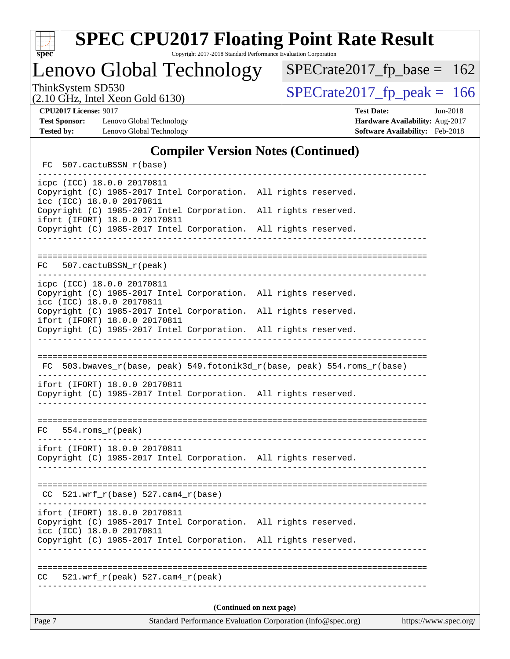

Lenovo Global Technology

ThinkSystem SD530  $SPECrate2017$  fp\_peak = 166

 $SPECTate2017_fp\_base = 162$ 

**[Test Sponsor:](http://www.spec.org/auto/cpu2017/Docs/result-fields.html#TestSponsor)** Lenovo Global Technology **[Hardware Availability:](http://www.spec.org/auto/cpu2017/Docs/result-fields.html#HardwareAvailability)** Aug-2017 [Tested by:](http://www.spec.org/auto/cpu2017/Docs/result-fields.html#Testedby) Lenovo Global Technology **[Software Availability:](http://www.spec.org/auto/cpu2017/Docs/result-fields.html#SoftwareAvailability)** Feb-2018

(2.10 GHz, Intel Xeon Gold 6130)

**[CPU2017 License:](http://www.spec.org/auto/cpu2017/Docs/result-fields.html#CPU2017License)** 9017 **[Test Date:](http://www.spec.org/auto/cpu2017/Docs/result-fields.html#TestDate)** Jun-2018

#### **[Compiler Version Notes \(Continued\)](http://www.spec.org/auto/cpu2017/Docs/result-fields.html#CompilerVersionNotes)**

FC 507.cactuBSSN r(base) ----------------------------------------------------------------------------- icpc (ICC) 18.0.0 20170811 Copyright (C) 1985-2017 Intel Corporation. All rights reserved. icc (ICC) 18.0.0 20170811 Copyright (C) 1985-2017 Intel Corporation. All rights reserved. ifort (IFORT) 18.0.0 20170811 Copyright (C) 1985-2017 Intel Corporation. All rights reserved. ------------------------------------------------------------------------------ ============================================================================== FC 507.cactuBSSN\_r(peak) ----------------------------------------------------------------------------- icpc (ICC) 18.0.0 20170811 Copyright (C) 1985-2017 Intel Corporation. All rights reserved. icc (ICC) 18.0.0 20170811 Copyright (C) 1985-2017 Intel Corporation. All rights reserved. ifort (IFORT) 18.0.0 20170811 Copyright (C) 1985-2017 Intel Corporation. All rights reserved. ------------------------------------------------------------------------------ ============================================================================== FC 503.bwaves\_r(base, peak) 549.fotonik3d\_r(base, peak) 554.roms\_r(base) ----------------------------------------------------------------------------- ifort (IFORT) 18.0.0 20170811 Copyright (C) 1985-2017 Intel Corporation. All rights reserved. ------------------------------------------------------------------------------ ============================================================================== FC 554.roms\_r(peak) ----------------------------------------------------------------------------- ifort (IFORT) 18.0.0 20170811 Copyright (C) 1985-2017 Intel Corporation. All rights reserved. ------------------------------------------------------------------------------ ==============================================================================  $CC$  521.wrf $_r(base)$  527.cam $4_r(base)$ ----------------------------------------------------------------------------- ifort (IFORT) 18.0.0 20170811 Copyright (C) 1985-2017 Intel Corporation. All rights reserved. icc (ICC) 18.0.0 20170811 Copyright (C) 1985-2017 Intel Corporation. All rights reserved. ------------------------------------------------------------------------------ ============================================================================== CC 521.wrf\_r(peak) 527.cam4\_r(peak) ------------------------------------------------------------------------------ **(Continued on next page)**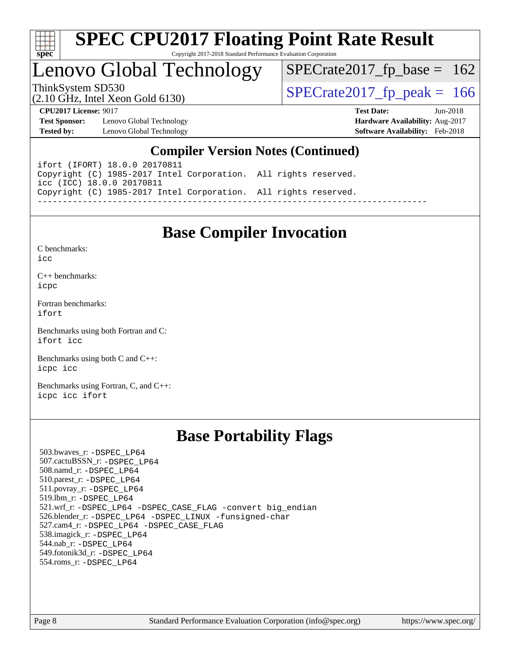

### Lenovo Global Technology

ThinkSystem SD530<br>(2.10 GHz, Intel Xeon Gold 6130) [SPECrate2017\\_fp\\_peak =](http://www.spec.org/auto/cpu2017/Docs/result-fields.html#SPECrate2017fppeak) 166  $SPECTate2017_fp\_base = 162$ 

(2.10 GHz, Intel Xeon Gold 6130)

**[CPU2017 License:](http://www.spec.org/auto/cpu2017/Docs/result-fields.html#CPU2017License)** 9017 **[Test Date:](http://www.spec.org/auto/cpu2017/Docs/result-fields.html#TestDate)** Jun-2018

**[Test Sponsor:](http://www.spec.org/auto/cpu2017/Docs/result-fields.html#TestSponsor)** Lenovo Global Technology **[Hardware Availability:](http://www.spec.org/auto/cpu2017/Docs/result-fields.html#HardwareAvailability)** Aug-2017 **[Tested by:](http://www.spec.org/auto/cpu2017/Docs/result-fields.html#Testedby)** Lenovo Global Technology **[Software Availability:](http://www.spec.org/auto/cpu2017/Docs/result-fields.html#SoftwareAvailability)** Feb-2018

#### **[Compiler Version Notes \(Continued\)](http://www.spec.org/auto/cpu2017/Docs/result-fields.html#CompilerVersionNotes)**

ifort (IFORT) 18.0.0 20170811 Copyright (C) 1985-2017 Intel Corporation. All rights reserved. icc (ICC) 18.0.0 20170811 Copyright (C) 1985-2017 Intel Corporation. All rights reserved. ------------------------------------------------------------------------------

### **[Base Compiler Invocation](http://www.spec.org/auto/cpu2017/Docs/result-fields.html#BaseCompilerInvocation)**

[C benchmarks](http://www.spec.org/auto/cpu2017/Docs/result-fields.html#Cbenchmarks):  $i$ cc

[C++ benchmarks:](http://www.spec.org/auto/cpu2017/Docs/result-fields.html#CXXbenchmarks) [icpc](http://www.spec.org/cpu2017/results/res2018q3/cpu2017-20180626-07401.flags.html#user_CXXbase_intel_icpc_18.0_c510b6838c7f56d33e37e94d029a35b4a7bccf4766a728ee175e80a419847e808290a9b78be685c44ab727ea267ec2f070ec5dc83b407c0218cded6866a35d07)

[Fortran benchmarks](http://www.spec.org/auto/cpu2017/Docs/result-fields.html#Fortranbenchmarks): [ifort](http://www.spec.org/cpu2017/results/res2018q3/cpu2017-20180626-07401.flags.html#user_FCbase_intel_ifort_18.0_8111460550e3ca792625aed983ce982f94888b8b503583aa7ba2b8303487b4d8a21a13e7191a45c5fd58ff318f48f9492884d4413fa793fd88dd292cad7027ca)

[Benchmarks using both Fortran and C](http://www.spec.org/auto/cpu2017/Docs/result-fields.html#BenchmarksusingbothFortranandC): [ifort](http://www.spec.org/cpu2017/results/res2018q3/cpu2017-20180626-07401.flags.html#user_CC_FCbase_intel_ifort_18.0_8111460550e3ca792625aed983ce982f94888b8b503583aa7ba2b8303487b4d8a21a13e7191a45c5fd58ff318f48f9492884d4413fa793fd88dd292cad7027ca) [icc](http://www.spec.org/cpu2017/results/res2018q3/cpu2017-20180626-07401.flags.html#user_CC_FCbase_intel_icc_18.0_66fc1ee009f7361af1fbd72ca7dcefbb700085f36577c54f309893dd4ec40d12360134090235512931783d35fd58c0460139e722d5067c5574d8eaf2b3e37e92)

[Benchmarks using both C and C++](http://www.spec.org/auto/cpu2017/Docs/result-fields.html#BenchmarksusingbothCandCXX): [icpc](http://www.spec.org/cpu2017/results/res2018q3/cpu2017-20180626-07401.flags.html#user_CC_CXXbase_intel_icpc_18.0_c510b6838c7f56d33e37e94d029a35b4a7bccf4766a728ee175e80a419847e808290a9b78be685c44ab727ea267ec2f070ec5dc83b407c0218cded6866a35d07) [icc](http://www.spec.org/cpu2017/results/res2018q3/cpu2017-20180626-07401.flags.html#user_CC_CXXbase_intel_icc_18.0_66fc1ee009f7361af1fbd72ca7dcefbb700085f36577c54f309893dd4ec40d12360134090235512931783d35fd58c0460139e722d5067c5574d8eaf2b3e37e92)

[Benchmarks using Fortran, C, and C++:](http://www.spec.org/auto/cpu2017/Docs/result-fields.html#BenchmarksusingFortranCandCXX) [icpc](http://www.spec.org/cpu2017/results/res2018q3/cpu2017-20180626-07401.flags.html#user_CC_CXX_FCbase_intel_icpc_18.0_c510b6838c7f56d33e37e94d029a35b4a7bccf4766a728ee175e80a419847e808290a9b78be685c44ab727ea267ec2f070ec5dc83b407c0218cded6866a35d07) [icc](http://www.spec.org/cpu2017/results/res2018q3/cpu2017-20180626-07401.flags.html#user_CC_CXX_FCbase_intel_icc_18.0_66fc1ee009f7361af1fbd72ca7dcefbb700085f36577c54f309893dd4ec40d12360134090235512931783d35fd58c0460139e722d5067c5574d8eaf2b3e37e92) [ifort](http://www.spec.org/cpu2017/results/res2018q3/cpu2017-20180626-07401.flags.html#user_CC_CXX_FCbase_intel_ifort_18.0_8111460550e3ca792625aed983ce982f94888b8b503583aa7ba2b8303487b4d8a21a13e7191a45c5fd58ff318f48f9492884d4413fa793fd88dd292cad7027ca)

### **[Base Portability Flags](http://www.spec.org/auto/cpu2017/Docs/result-fields.html#BasePortabilityFlags)**

 503.bwaves\_r: [-DSPEC\\_LP64](http://www.spec.org/cpu2017/results/res2018q3/cpu2017-20180626-07401.flags.html#suite_basePORTABILITY503_bwaves_r_DSPEC_LP64) 507.cactuBSSN\_r: [-DSPEC\\_LP64](http://www.spec.org/cpu2017/results/res2018q3/cpu2017-20180626-07401.flags.html#suite_basePORTABILITY507_cactuBSSN_r_DSPEC_LP64) 508.namd\_r: [-DSPEC\\_LP64](http://www.spec.org/cpu2017/results/res2018q3/cpu2017-20180626-07401.flags.html#suite_basePORTABILITY508_namd_r_DSPEC_LP64) 510.parest\_r: [-DSPEC\\_LP64](http://www.spec.org/cpu2017/results/res2018q3/cpu2017-20180626-07401.flags.html#suite_basePORTABILITY510_parest_r_DSPEC_LP64) 511.povray\_r: [-DSPEC\\_LP64](http://www.spec.org/cpu2017/results/res2018q3/cpu2017-20180626-07401.flags.html#suite_basePORTABILITY511_povray_r_DSPEC_LP64) 519.lbm\_r: [-DSPEC\\_LP64](http://www.spec.org/cpu2017/results/res2018q3/cpu2017-20180626-07401.flags.html#suite_basePORTABILITY519_lbm_r_DSPEC_LP64) 521.wrf\_r: [-DSPEC\\_LP64](http://www.spec.org/cpu2017/results/res2018q3/cpu2017-20180626-07401.flags.html#suite_basePORTABILITY521_wrf_r_DSPEC_LP64) [-DSPEC\\_CASE\\_FLAG](http://www.spec.org/cpu2017/results/res2018q3/cpu2017-20180626-07401.flags.html#b521.wrf_r_baseCPORTABILITY_DSPEC_CASE_FLAG) [-convert big\\_endian](http://www.spec.org/cpu2017/results/res2018q3/cpu2017-20180626-07401.flags.html#user_baseFPORTABILITY521_wrf_r_convert_big_endian_c3194028bc08c63ac5d04de18c48ce6d347e4e562e8892b8bdbdc0214820426deb8554edfa529a3fb25a586e65a3d812c835984020483e7e73212c4d31a38223) 526.blender\_r: [-DSPEC\\_LP64](http://www.spec.org/cpu2017/results/res2018q3/cpu2017-20180626-07401.flags.html#suite_basePORTABILITY526_blender_r_DSPEC_LP64) [-DSPEC\\_LINUX](http://www.spec.org/cpu2017/results/res2018q3/cpu2017-20180626-07401.flags.html#b526.blender_r_baseCPORTABILITY_DSPEC_LINUX) [-funsigned-char](http://www.spec.org/cpu2017/results/res2018q3/cpu2017-20180626-07401.flags.html#user_baseCPORTABILITY526_blender_r_force_uchar_40c60f00ab013830e2dd6774aeded3ff59883ba5a1fc5fc14077f794d777847726e2a5858cbc7672e36e1b067e7e5c1d9a74f7176df07886a243d7cc18edfe67) 527.cam4\_r: [-DSPEC\\_LP64](http://www.spec.org/cpu2017/results/res2018q3/cpu2017-20180626-07401.flags.html#suite_basePORTABILITY527_cam4_r_DSPEC_LP64) [-DSPEC\\_CASE\\_FLAG](http://www.spec.org/cpu2017/results/res2018q3/cpu2017-20180626-07401.flags.html#b527.cam4_r_baseCPORTABILITY_DSPEC_CASE_FLAG) 538.imagick\_r: [-DSPEC\\_LP64](http://www.spec.org/cpu2017/results/res2018q3/cpu2017-20180626-07401.flags.html#suite_basePORTABILITY538_imagick_r_DSPEC_LP64) 544.nab\_r: [-DSPEC\\_LP64](http://www.spec.org/cpu2017/results/res2018q3/cpu2017-20180626-07401.flags.html#suite_basePORTABILITY544_nab_r_DSPEC_LP64) 549.fotonik3d\_r: [-DSPEC\\_LP64](http://www.spec.org/cpu2017/results/res2018q3/cpu2017-20180626-07401.flags.html#suite_basePORTABILITY549_fotonik3d_r_DSPEC_LP64) 554.roms\_r: [-DSPEC\\_LP64](http://www.spec.org/cpu2017/results/res2018q3/cpu2017-20180626-07401.flags.html#suite_basePORTABILITY554_roms_r_DSPEC_LP64)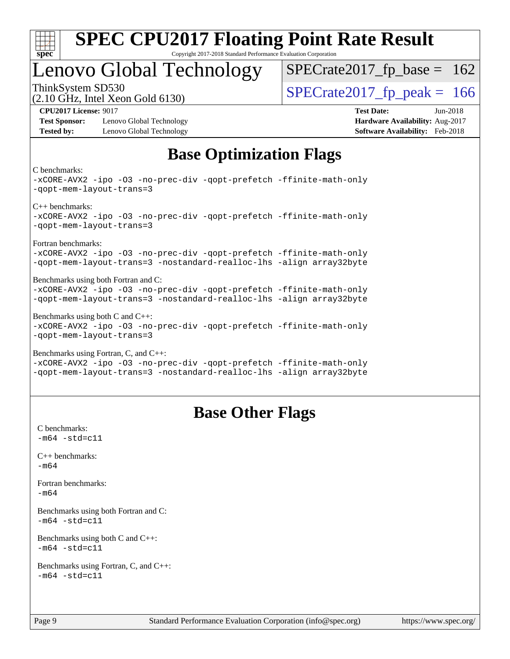

### Lenovo Global Technology

ThinkSystem SD530<br>  $\frac{10.647 \text{ J} \cdot \text{m/s}}{10.647 \text{ J} \cdot \text{m/s}}$  [SPECrate2017\\_fp\\_peak =](http://www.spec.org/auto/cpu2017/Docs/result-fields.html#SPECrate2017fppeak) 166

 $SPECTate2017_fp\_base = 162$ 

(2.10 GHz, Intel Xeon Gold 6130)

**[Test Sponsor:](http://www.spec.org/auto/cpu2017/Docs/result-fields.html#TestSponsor)** Lenovo Global Technology **[Hardware Availability:](http://www.spec.org/auto/cpu2017/Docs/result-fields.html#HardwareAvailability)** Aug-2017 **[Tested by:](http://www.spec.org/auto/cpu2017/Docs/result-fields.html#Testedby)** Lenovo Global Technology **[Software Availability:](http://www.spec.org/auto/cpu2017/Docs/result-fields.html#SoftwareAvailability)** Feb-2018

**[CPU2017 License:](http://www.spec.org/auto/cpu2017/Docs/result-fields.html#CPU2017License)** 9017 **[Test Date:](http://www.spec.org/auto/cpu2017/Docs/result-fields.html#TestDate)** Jun-2018

### **[Base Optimization Flags](http://www.spec.org/auto/cpu2017/Docs/result-fields.html#BaseOptimizationFlags)**

[C benchmarks:](http://www.spec.org/auto/cpu2017/Docs/result-fields.html#Cbenchmarks)

[-xCORE-AVX2](http://www.spec.org/cpu2017/results/res2018q3/cpu2017-20180626-07401.flags.html#user_CCbase_f-xCORE-AVX2) [-ipo](http://www.spec.org/cpu2017/results/res2018q3/cpu2017-20180626-07401.flags.html#user_CCbase_f-ipo) [-O3](http://www.spec.org/cpu2017/results/res2018q3/cpu2017-20180626-07401.flags.html#user_CCbase_f-O3) [-no-prec-div](http://www.spec.org/cpu2017/results/res2018q3/cpu2017-20180626-07401.flags.html#user_CCbase_f-no-prec-div) [-qopt-prefetch](http://www.spec.org/cpu2017/results/res2018q3/cpu2017-20180626-07401.flags.html#user_CCbase_f-qopt-prefetch) [-ffinite-math-only](http://www.spec.org/cpu2017/results/res2018q3/cpu2017-20180626-07401.flags.html#user_CCbase_f_finite_math_only_cb91587bd2077682c4b38af759c288ed7c732db004271a9512da14a4f8007909a5f1427ecbf1a0fb78ff2a814402c6114ac565ca162485bbcae155b5e4258871) [-qopt-mem-layout-trans=3](http://www.spec.org/cpu2017/results/res2018q3/cpu2017-20180626-07401.flags.html#user_CCbase_f-qopt-mem-layout-trans_de80db37974c74b1f0e20d883f0b675c88c3b01e9d123adea9b28688d64333345fb62bc4a798493513fdb68f60282f9a726aa07f478b2f7113531aecce732043) [C++ benchmarks](http://www.spec.org/auto/cpu2017/Docs/result-fields.html#CXXbenchmarks): [-xCORE-AVX2](http://www.spec.org/cpu2017/results/res2018q3/cpu2017-20180626-07401.flags.html#user_CXXbase_f-xCORE-AVX2) [-ipo](http://www.spec.org/cpu2017/results/res2018q3/cpu2017-20180626-07401.flags.html#user_CXXbase_f-ipo) [-O3](http://www.spec.org/cpu2017/results/res2018q3/cpu2017-20180626-07401.flags.html#user_CXXbase_f-O3) [-no-prec-div](http://www.spec.org/cpu2017/results/res2018q3/cpu2017-20180626-07401.flags.html#user_CXXbase_f-no-prec-div) [-qopt-prefetch](http://www.spec.org/cpu2017/results/res2018q3/cpu2017-20180626-07401.flags.html#user_CXXbase_f-qopt-prefetch) [-ffinite-math-only](http://www.spec.org/cpu2017/results/res2018q3/cpu2017-20180626-07401.flags.html#user_CXXbase_f_finite_math_only_cb91587bd2077682c4b38af759c288ed7c732db004271a9512da14a4f8007909a5f1427ecbf1a0fb78ff2a814402c6114ac565ca162485bbcae155b5e4258871) [-qopt-mem-layout-trans=3](http://www.spec.org/cpu2017/results/res2018q3/cpu2017-20180626-07401.flags.html#user_CXXbase_f-qopt-mem-layout-trans_de80db37974c74b1f0e20d883f0b675c88c3b01e9d123adea9b28688d64333345fb62bc4a798493513fdb68f60282f9a726aa07f478b2f7113531aecce732043) [Fortran benchmarks:](http://www.spec.org/auto/cpu2017/Docs/result-fields.html#Fortranbenchmarks) [-xCORE-AVX2](http://www.spec.org/cpu2017/results/res2018q3/cpu2017-20180626-07401.flags.html#user_FCbase_f-xCORE-AVX2) [-ipo](http://www.spec.org/cpu2017/results/res2018q3/cpu2017-20180626-07401.flags.html#user_FCbase_f-ipo) [-O3](http://www.spec.org/cpu2017/results/res2018q3/cpu2017-20180626-07401.flags.html#user_FCbase_f-O3) [-no-prec-div](http://www.spec.org/cpu2017/results/res2018q3/cpu2017-20180626-07401.flags.html#user_FCbase_f-no-prec-div) [-qopt-prefetch](http://www.spec.org/cpu2017/results/res2018q3/cpu2017-20180626-07401.flags.html#user_FCbase_f-qopt-prefetch) [-ffinite-math-only](http://www.spec.org/cpu2017/results/res2018q3/cpu2017-20180626-07401.flags.html#user_FCbase_f_finite_math_only_cb91587bd2077682c4b38af759c288ed7c732db004271a9512da14a4f8007909a5f1427ecbf1a0fb78ff2a814402c6114ac565ca162485bbcae155b5e4258871) [-qopt-mem-layout-trans=3](http://www.spec.org/cpu2017/results/res2018q3/cpu2017-20180626-07401.flags.html#user_FCbase_f-qopt-mem-layout-trans_de80db37974c74b1f0e20d883f0b675c88c3b01e9d123adea9b28688d64333345fb62bc4a798493513fdb68f60282f9a726aa07f478b2f7113531aecce732043) [-nostandard-realloc-lhs](http://www.spec.org/cpu2017/results/res2018q3/cpu2017-20180626-07401.flags.html#user_FCbase_f_2003_std_realloc_82b4557e90729c0f113870c07e44d33d6f5a304b4f63d4c15d2d0f1fab99f5daaed73bdb9275d9ae411527f28b936061aa8b9c8f2d63842963b95c9dd6426b8a) [-align array32byte](http://www.spec.org/cpu2017/results/res2018q3/cpu2017-20180626-07401.flags.html#user_FCbase_align_array32byte_b982fe038af199962ba9a80c053b8342c548c85b40b8e86eb3cc33dee0d7986a4af373ac2d51c3f7cf710a18d62fdce2948f201cd044323541f22fc0fffc51b6) [Benchmarks using both Fortran and C:](http://www.spec.org/auto/cpu2017/Docs/result-fields.html#BenchmarksusingbothFortranandC) [-xCORE-AVX2](http://www.spec.org/cpu2017/results/res2018q3/cpu2017-20180626-07401.flags.html#user_CC_FCbase_f-xCORE-AVX2) [-ipo](http://www.spec.org/cpu2017/results/res2018q3/cpu2017-20180626-07401.flags.html#user_CC_FCbase_f-ipo) [-O3](http://www.spec.org/cpu2017/results/res2018q3/cpu2017-20180626-07401.flags.html#user_CC_FCbase_f-O3) [-no-prec-div](http://www.spec.org/cpu2017/results/res2018q3/cpu2017-20180626-07401.flags.html#user_CC_FCbase_f-no-prec-div) [-qopt-prefetch](http://www.spec.org/cpu2017/results/res2018q3/cpu2017-20180626-07401.flags.html#user_CC_FCbase_f-qopt-prefetch) [-ffinite-math-only](http://www.spec.org/cpu2017/results/res2018q3/cpu2017-20180626-07401.flags.html#user_CC_FCbase_f_finite_math_only_cb91587bd2077682c4b38af759c288ed7c732db004271a9512da14a4f8007909a5f1427ecbf1a0fb78ff2a814402c6114ac565ca162485bbcae155b5e4258871) [-qopt-mem-layout-trans=3](http://www.spec.org/cpu2017/results/res2018q3/cpu2017-20180626-07401.flags.html#user_CC_FCbase_f-qopt-mem-layout-trans_de80db37974c74b1f0e20d883f0b675c88c3b01e9d123adea9b28688d64333345fb62bc4a798493513fdb68f60282f9a726aa07f478b2f7113531aecce732043) [-nostandard-realloc-lhs](http://www.spec.org/cpu2017/results/res2018q3/cpu2017-20180626-07401.flags.html#user_CC_FCbase_f_2003_std_realloc_82b4557e90729c0f113870c07e44d33d6f5a304b4f63d4c15d2d0f1fab99f5daaed73bdb9275d9ae411527f28b936061aa8b9c8f2d63842963b95c9dd6426b8a) [-align array32byte](http://www.spec.org/cpu2017/results/res2018q3/cpu2017-20180626-07401.flags.html#user_CC_FCbase_align_array32byte_b982fe038af199962ba9a80c053b8342c548c85b40b8e86eb3cc33dee0d7986a4af373ac2d51c3f7cf710a18d62fdce2948f201cd044323541f22fc0fffc51b6) [Benchmarks using both C and C++](http://www.spec.org/auto/cpu2017/Docs/result-fields.html#BenchmarksusingbothCandCXX): [-xCORE-AVX2](http://www.spec.org/cpu2017/results/res2018q3/cpu2017-20180626-07401.flags.html#user_CC_CXXbase_f-xCORE-AVX2) [-ipo](http://www.spec.org/cpu2017/results/res2018q3/cpu2017-20180626-07401.flags.html#user_CC_CXXbase_f-ipo) [-O3](http://www.spec.org/cpu2017/results/res2018q3/cpu2017-20180626-07401.flags.html#user_CC_CXXbase_f-O3) [-no-prec-div](http://www.spec.org/cpu2017/results/res2018q3/cpu2017-20180626-07401.flags.html#user_CC_CXXbase_f-no-prec-div) [-qopt-prefetch](http://www.spec.org/cpu2017/results/res2018q3/cpu2017-20180626-07401.flags.html#user_CC_CXXbase_f-qopt-prefetch) [-ffinite-math-only](http://www.spec.org/cpu2017/results/res2018q3/cpu2017-20180626-07401.flags.html#user_CC_CXXbase_f_finite_math_only_cb91587bd2077682c4b38af759c288ed7c732db004271a9512da14a4f8007909a5f1427ecbf1a0fb78ff2a814402c6114ac565ca162485bbcae155b5e4258871) [-qopt-mem-layout-trans=3](http://www.spec.org/cpu2017/results/res2018q3/cpu2017-20180626-07401.flags.html#user_CC_CXXbase_f-qopt-mem-layout-trans_de80db37974c74b1f0e20d883f0b675c88c3b01e9d123adea9b28688d64333345fb62bc4a798493513fdb68f60282f9a726aa07f478b2f7113531aecce732043) [Benchmarks using Fortran, C, and C++](http://www.spec.org/auto/cpu2017/Docs/result-fields.html#BenchmarksusingFortranCandCXX): [-xCORE-AVX2](http://www.spec.org/cpu2017/results/res2018q3/cpu2017-20180626-07401.flags.html#user_CC_CXX_FCbase_f-xCORE-AVX2) [-ipo](http://www.spec.org/cpu2017/results/res2018q3/cpu2017-20180626-07401.flags.html#user_CC_CXX_FCbase_f-ipo) [-O3](http://www.spec.org/cpu2017/results/res2018q3/cpu2017-20180626-07401.flags.html#user_CC_CXX_FCbase_f-O3) [-no-prec-div](http://www.spec.org/cpu2017/results/res2018q3/cpu2017-20180626-07401.flags.html#user_CC_CXX_FCbase_f-no-prec-div) [-qopt-prefetch](http://www.spec.org/cpu2017/results/res2018q3/cpu2017-20180626-07401.flags.html#user_CC_CXX_FCbase_f-qopt-prefetch) [-ffinite-math-only](http://www.spec.org/cpu2017/results/res2018q3/cpu2017-20180626-07401.flags.html#user_CC_CXX_FCbase_f_finite_math_only_cb91587bd2077682c4b38af759c288ed7c732db004271a9512da14a4f8007909a5f1427ecbf1a0fb78ff2a814402c6114ac565ca162485bbcae155b5e4258871) [-qopt-mem-layout-trans=3](http://www.spec.org/cpu2017/results/res2018q3/cpu2017-20180626-07401.flags.html#user_CC_CXX_FCbase_f-qopt-mem-layout-trans_de80db37974c74b1f0e20d883f0b675c88c3b01e9d123adea9b28688d64333345fb62bc4a798493513fdb68f60282f9a726aa07f478b2f7113531aecce732043) [-nostandard-realloc-lhs](http://www.spec.org/cpu2017/results/res2018q3/cpu2017-20180626-07401.flags.html#user_CC_CXX_FCbase_f_2003_std_realloc_82b4557e90729c0f113870c07e44d33d6f5a304b4f63d4c15d2d0f1fab99f5daaed73bdb9275d9ae411527f28b936061aa8b9c8f2d63842963b95c9dd6426b8a) [-align array32byte](http://www.spec.org/cpu2017/results/res2018q3/cpu2017-20180626-07401.flags.html#user_CC_CXX_FCbase_align_array32byte_b982fe038af199962ba9a80c053b8342c548c85b40b8e86eb3cc33dee0d7986a4af373ac2d51c3f7cf710a18d62fdce2948f201cd044323541f22fc0fffc51b6)

### **[Base Other Flags](http://www.spec.org/auto/cpu2017/Docs/result-fields.html#BaseOtherFlags)**

[C benchmarks](http://www.spec.org/auto/cpu2017/Docs/result-fields.html#Cbenchmarks):  $-m64 - std = c11$  $-m64 - std = c11$ [C++ benchmarks:](http://www.spec.org/auto/cpu2017/Docs/result-fields.html#CXXbenchmarks) [-m64](http://www.spec.org/cpu2017/results/res2018q3/cpu2017-20180626-07401.flags.html#user_CXXbase_intel_intel64_18.0_af43caccfc8ded86e7699f2159af6efc7655f51387b94da716254467f3c01020a5059329e2569e4053f409e7c9202a7efc638f7a6d1ffb3f52dea4a3e31d82ab) [Fortran benchmarks](http://www.spec.org/auto/cpu2017/Docs/result-fields.html#Fortranbenchmarks): [-m64](http://www.spec.org/cpu2017/results/res2018q3/cpu2017-20180626-07401.flags.html#user_FCbase_intel_intel64_18.0_af43caccfc8ded86e7699f2159af6efc7655f51387b94da716254467f3c01020a5059329e2569e4053f409e7c9202a7efc638f7a6d1ffb3f52dea4a3e31d82ab) [Benchmarks using both Fortran and C](http://www.spec.org/auto/cpu2017/Docs/result-fields.html#BenchmarksusingbothFortranandC):  $-m64$   $-std=cl1$ [Benchmarks using both C and C++](http://www.spec.org/auto/cpu2017/Docs/result-fields.html#BenchmarksusingbothCandCXX):  $-m64 - std= c11$  $-m64 - std= c11$ [Benchmarks using Fortran, C, and C++:](http://www.spec.org/auto/cpu2017/Docs/result-fields.html#BenchmarksusingFortranCandCXX)  $-m64 - std = c11$  $-m64 - std = c11$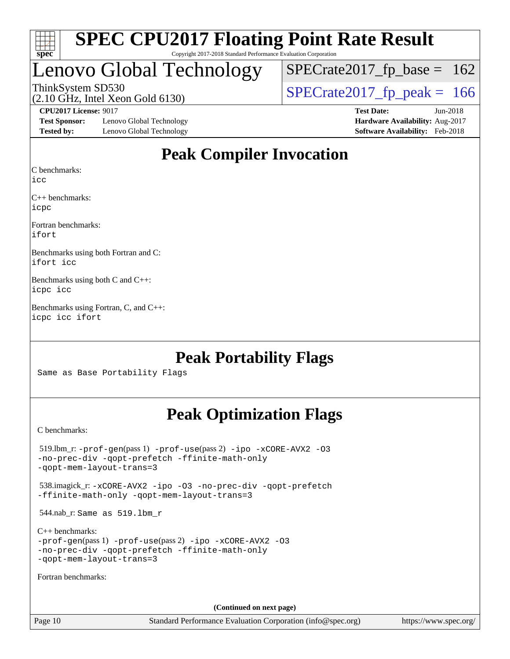

### Lenovo Global Technology

ThinkSystem SD530<br>(2.10 GHz, Intel Xeon Gold 6130) [SPECrate2017\\_fp\\_peak =](http://www.spec.org/auto/cpu2017/Docs/result-fields.html#SPECrate2017fppeak) 166  $SPECTate2017_fp\_base = 162$ 

(2.10 GHz, Intel Xeon Gold 6130)

**[Test Sponsor:](http://www.spec.org/auto/cpu2017/Docs/result-fields.html#TestSponsor)** Lenovo Global Technology **[Hardware Availability:](http://www.spec.org/auto/cpu2017/Docs/result-fields.html#HardwareAvailability)** Aug-2017 **[Tested by:](http://www.spec.org/auto/cpu2017/Docs/result-fields.html#Testedby)** Lenovo Global Technology **[Software Availability:](http://www.spec.org/auto/cpu2017/Docs/result-fields.html#SoftwareAvailability)** Feb-2018

**[CPU2017 License:](http://www.spec.org/auto/cpu2017/Docs/result-fields.html#CPU2017License)** 9017 **[Test Date:](http://www.spec.org/auto/cpu2017/Docs/result-fields.html#TestDate)** Jun-2018

### **[Peak Compiler Invocation](http://www.spec.org/auto/cpu2017/Docs/result-fields.html#PeakCompilerInvocation)**

[C benchmarks](http://www.spec.org/auto/cpu2017/Docs/result-fields.html#Cbenchmarks):

[icc](http://www.spec.org/cpu2017/results/res2018q3/cpu2017-20180626-07401.flags.html#user_CCpeak_intel_icc_18.0_66fc1ee009f7361af1fbd72ca7dcefbb700085f36577c54f309893dd4ec40d12360134090235512931783d35fd58c0460139e722d5067c5574d8eaf2b3e37e92)

[C++ benchmarks:](http://www.spec.org/auto/cpu2017/Docs/result-fields.html#CXXbenchmarks) [icpc](http://www.spec.org/cpu2017/results/res2018q3/cpu2017-20180626-07401.flags.html#user_CXXpeak_intel_icpc_18.0_c510b6838c7f56d33e37e94d029a35b4a7bccf4766a728ee175e80a419847e808290a9b78be685c44ab727ea267ec2f070ec5dc83b407c0218cded6866a35d07)

[Fortran benchmarks](http://www.spec.org/auto/cpu2017/Docs/result-fields.html#Fortranbenchmarks): [ifort](http://www.spec.org/cpu2017/results/res2018q3/cpu2017-20180626-07401.flags.html#user_FCpeak_intel_ifort_18.0_8111460550e3ca792625aed983ce982f94888b8b503583aa7ba2b8303487b4d8a21a13e7191a45c5fd58ff318f48f9492884d4413fa793fd88dd292cad7027ca)

[Benchmarks using both Fortran and C](http://www.spec.org/auto/cpu2017/Docs/result-fields.html#BenchmarksusingbothFortranandC): [ifort](http://www.spec.org/cpu2017/results/res2018q3/cpu2017-20180626-07401.flags.html#user_CC_FCpeak_intel_ifort_18.0_8111460550e3ca792625aed983ce982f94888b8b503583aa7ba2b8303487b4d8a21a13e7191a45c5fd58ff318f48f9492884d4413fa793fd88dd292cad7027ca) [icc](http://www.spec.org/cpu2017/results/res2018q3/cpu2017-20180626-07401.flags.html#user_CC_FCpeak_intel_icc_18.0_66fc1ee009f7361af1fbd72ca7dcefbb700085f36577c54f309893dd4ec40d12360134090235512931783d35fd58c0460139e722d5067c5574d8eaf2b3e37e92)

[Benchmarks using both C and C++:](http://www.spec.org/auto/cpu2017/Docs/result-fields.html#BenchmarksusingbothCandCXX) [icpc](http://www.spec.org/cpu2017/results/res2018q3/cpu2017-20180626-07401.flags.html#user_CC_CXXpeak_intel_icpc_18.0_c510b6838c7f56d33e37e94d029a35b4a7bccf4766a728ee175e80a419847e808290a9b78be685c44ab727ea267ec2f070ec5dc83b407c0218cded6866a35d07) [icc](http://www.spec.org/cpu2017/results/res2018q3/cpu2017-20180626-07401.flags.html#user_CC_CXXpeak_intel_icc_18.0_66fc1ee009f7361af1fbd72ca7dcefbb700085f36577c54f309893dd4ec40d12360134090235512931783d35fd58c0460139e722d5067c5574d8eaf2b3e37e92)

[Benchmarks using Fortran, C, and C++](http://www.spec.org/auto/cpu2017/Docs/result-fields.html#BenchmarksusingFortranCandCXX): [icpc](http://www.spec.org/cpu2017/results/res2018q3/cpu2017-20180626-07401.flags.html#user_CC_CXX_FCpeak_intel_icpc_18.0_c510b6838c7f56d33e37e94d029a35b4a7bccf4766a728ee175e80a419847e808290a9b78be685c44ab727ea267ec2f070ec5dc83b407c0218cded6866a35d07) [icc](http://www.spec.org/cpu2017/results/res2018q3/cpu2017-20180626-07401.flags.html#user_CC_CXX_FCpeak_intel_icc_18.0_66fc1ee009f7361af1fbd72ca7dcefbb700085f36577c54f309893dd4ec40d12360134090235512931783d35fd58c0460139e722d5067c5574d8eaf2b3e37e92) [ifort](http://www.spec.org/cpu2017/results/res2018q3/cpu2017-20180626-07401.flags.html#user_CC_CXX_FCpeak_intel_ifort_18.0_8111460550e3ca792625aed983ce982f94888b8b503583aa7ba2b8303487b4d8a21a13e7191a45c5fd58ff318f48f9492884d4413fa793fd88dd292cad7027ca)

### **[Peak Portability Flags](http://www.spec.org/auto/cpu2017/Docs/result-fields.html#PeakPortabilityFlags)**

Same as Base Portability Flags

### **[Peak Optimization Flags](http://www.spec.org/auto/cpu2017/Docs/result-fields.html#PeakOptimizationFlags)**

[C benchmarks](http://www.spec.org/auto/cpu2017/Docs/result-fields.html#Cbenchmarks):

 519.lbm\_r: [-prof-gen](http://www.spec.org/cpu2017/results/res2018q3/cpu2017-20180626-07401.flags.html#user_peakPASS1_CFLAGSPASS1_LDFLAGS519_lbm_r_prof_gen_5aa4926d6013ddb2a31985c654b3eb18169fc0c6952a63635c234f711e6e63dd76e94ad52365559451ec499a2cdb89e4dc58ba4c67ef54ca681ffbe1461d6b36)(pass 1) [-prof-use](http://www.spec.org/cpu2017/results/res2018q3/cpu2017-20180626-07401.flags.html#user_peakPASS2_CFLAGSPASS2_LDFLAGS519_lbm_r_prof_use_1a21ceae95f36a2b53c25747139a6c16ca95bd9def2a207b4f0849963b97e94f5260e30a0c64f4bb623698870e679ca08317ef8150905d41bd88c6f78df73f19)(pass 2) [-ipo](http://www.spec.org/cpu2017/results/res2018q3/cpu2017-20180626-07401.flags.html#user_peakPASS1_COPTIMIZEPASS2_COPTIMIZE519_lbm_r_f-ipo) [-xCORE-AVX2](http://www.spec.org/cpu2017/results/res2018q3/cpu2017-20180626-07401.flags.html#user_peakPASS2_COPTIMIZE519_lbm_r_f-xCORE-AVX2) [-O3](http://www.spec.org/cpu2017/results/res2018q3/cpu2017-20180626-07401.flags.html#user_peakPASS1_COPTIMIZEPASS2_COPTIMIZE519_lbm_r_f-O3) [-no-prec-div](http://www.spec.org/cpu2017/results/res2018q3/cpu2017-20180626-07401.flags.html#user_peakPASS1_COPTIMIZEPASS2_COPTIMIZE519_lbm_r_f-no-prec-div) [-qopt-prefetch](http://www.spec.org/cpu2017/results/res2018q3/cpu2017-20180626-07401.flags.html#user_peakPASS1_COPTIMIZEPASS2_COPTIMIZE519_lbm_r_f-qopt-prefetch) [-ffinite-math-only](http://www.spec.org/cpu2017/results/res2018q3/cpu2017-20180626-07401.flags.html#user_peakPASS1_COPTIMIZEPASS2_COPTIMIZE519_lbm_r_f_finite_math_only_cb91587bd2077682c4b38af759c288ed7c732db004271a9512da14a4f8007909a5f1427ecbf1a0fb78ff2a814402c6114ac565ca162485bbcae155b5e4258871) [-qopt-mem-layout-trans=3](http://www.spec.org/cpu2017/results/res2018q3/cpu2017-20180626-07401.flags.html#user_peakPASS1_COPTIMIZEPASS2_COPTIMIZE519_lbm_r_f-qopt-mem-layout-trans_de80db37974c74b1f0e20d883f0b675c88c3b01e9d123adea9b28688d64333345fb62bc4a798493513fdb68f60282f9a726aa07f478b2f7113531aecce732043) 538.imagick\_r: [-xCORE-AVX2](http://www.spec.org/cpu2017/results/res2018q3/cpu2017-20180626-07401.flags.html#user_peakCOPTIMIZE538_imagick_r_f-xCORE-AVX2) [-ipo](http://www.spec.org/cpu2017/results/res2018q3/cpu2017-20180626-07401.flags.html#user_peakCOPTIMIZE538_imagick_r_f-ipo) [-O3](http://www.spec.org/cpu2017/results/res2018q3/cpu2017-20180626-07401.flags.html#user_peakCOPTIMIZE538_imagick_r_f-O3) [-no-prec-div](http://www.spec.org/cpu2017/results/res2018q3/cpu2017-20180626-07401.flags.html#user_peakCOPTIMIZE538_imagick_r_f-no-prec-div) [-qopt-prefetch](http://www.spec.org/cpu2017/results/res2018q3/cpu2017-20180626-07401.flags.html#user_peakCOPTIMIZE538_imagick_r_f-qopt-prefetch) [-ffinite-math-only](http://www.spec.org/cpu2017/results/res2018q3/cpu2017-20180626-07401.flags.html#user_peakCOPTIMIZE538_imagick_r_f_finite_math_only_cb91587bd2077682c4b38af759c288ed7c732db004271a9512da14a4f8007909a5f1427ecbf1a0fb78ff2a814402c6114ac565ca162485bbcae155b5e4258871) [-qopt-mem-layout-trans=3](http://www.spec.org/cpu2017/results/res2018q3/cpu2017-20180626-07401.flags.html#user_peakCOPTIMIZE538_imagick_r_f-qopt-mem-layout-trans_de80db37974c74b1f0e20d883f0b675c88c3b01e9d123adea9b28688d64333345fb62bc4a798493513fdb68f60282f9a726aa07f478b2f7113531aecce732043) 544.nab\_r: Same as 519.lbm\_r [C++ benchmarks:](http://www.spec.org/auto/cpu2017/Docs/result-fields.html#CXXbenchmarks) [-prof-gen](http://www.spec.org/cpu2017/results/res2018q3/cpu2017-20180626-07401.flags.html#user_CXXpeak_prof_gen_5aa4926d6013ddb2a31985c654b3eb18169fc0c6952a63635c234f711e6e63dd76e94ad52365559451ec499a2cdb89e4dc58ba4c67ef54ca681ffbe1461d6b36)(pass 1) [-prof-use](http://www.spec.org/cpu2017/results/res2018q3/cpu2017-20180626-07401.flags.html#user_CXXpeak_prof_use_1a21ceae95f36a2b53c25747139a6c16ca95bd9def2a207b4f0849963b97e94f5260e30a0c64f4bb623698870e679ca08317ef8150905d41bd88c6f78df73f19)(pass 2) [-ipo](http://www.spec.org/cpu2017/results/res2018q3/cpu2017-20180626-07401.flags.html#user_CXXpeak_f-ipo) [-xCORE-AVX2](http://www.spec.org/cpu2017/results/res2018q3/cpu2017-20180626-07401.flags.html#user_CXXpeak_f-xCORE-AVX2) [-O3](http://www.spec.org/cpu2017/results/res2018q3/cpu2017-20180626-07401.flags.html#user_CXXpeak_f-O3) [-no-prec-div](http://www.spec.org/cpu2017/results/res2018q3/cpu2017-20180626-07401.flags.html#user_CXXpeak_f-no-prec-div) [-qopt-prefetch](http://www.spec.org/cpu2017/results/res2018q3/cpu2017-20180626-07401.flags.html#user_CXXpeak_f-qopt-prefetch) [-ffinite-math-only](http://www.spec.org/cpu2017/results/res2018q3/cpu2017-20180626-07401.flags.html#user_CXXpeak_f_finite_math_only_cb91587bd2077682c4b38af759c288ed7c732db004271a9512da14a4f8007909a5f1427ecbf1a0fb78ff2a814402c6114ac565ca162485bbcae155b5e4258871) [-qopt-mem-layout-trans=3](http://www.spec.org/cpu2017/results/res2018q3/cpu2017-20180626-07401.flags.html#user_CXXpeak_f-qopt-mem-layout-trans_de80db37974c74b1f0e20d883f0b675c88c3b01e9d123adea9b28688d64333345fb62bc4a798493513fdb68f60282f9a726aa07f478b2f7113531aecce732043) [Fortran benchmarks](http://www.spec.org/auto/cpu2017/Docs/result-fields.html#Fortranbenchmarks): **(Continued on next page)**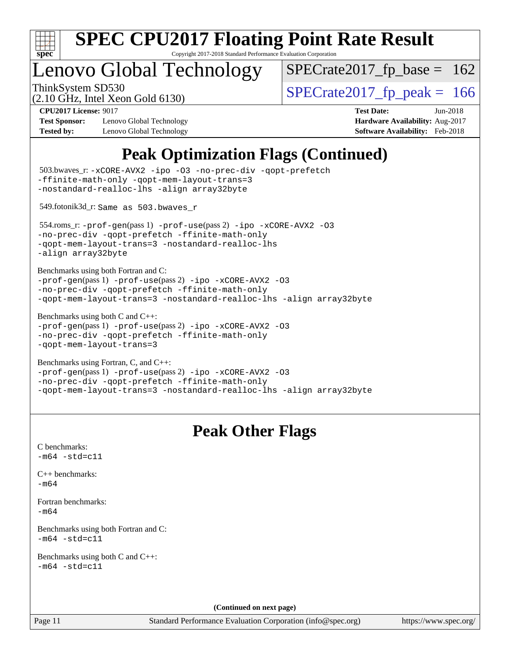

Copyright 2017-2018 Standard Performance Evaluation Corporation

### enovo Global Technology

ThinkSystem SD530<br>  $\frac{10.647 \text{ J} \cdot \text{m/s}}{10.647 \text{ J} \cdot \text{m/s}}$  [SPECrate2017\\_fp\\_peak =](http://www.spec.org/auto/cpu2017/Docs/result-fields.html#SPECrate2017fppeak) 166  $SPECTate2017_fp\_base = 162$ 

(2.10 GHz, Intel Xeon Gold 6130)

**[Test Sponsor:](http://www.spec.org/auto/cpu2017/Docs/result-fields.html#TestSponsor)** Lenovo Global Technology **[Hardware Availability:](http://www.spec.org/auto/cpu2017/Docs/result-fields.html#HardwareAvailability)** Aug-2017 **[Tested by:](http://www.spec.org/auto/cpu2017/Docs/result-fields.html#Testedby)** Lenovo Global Technology **[Software Availability:](http://www.spec.org/auto/cpu2017/Docs/result-fields.html#SoftwareAvailability)** Feb-2018

**[CPU2017 License:](http://www.spec.org/auto/cpu2017/Docs/result-fields.html#CPU2017License)** 9017 **[Test Date:](http://www.spec.org/auto/cpu2017/Docs/result-fields.html#TestDate)** Jun-2018

### **[Peak Optimization Flags \(Continued\)](http://www.spec.org/auto/cpu2017/Docs/result-fields.html#PeakOptimizationFlags)**

```
(info@spec.org)https://www.spec.org/
  503.bwaves_r: -xCORE-AVX2 -ipo -O3 -no-prec-div -qopt-prefetch
-ffinite-math-only -qopt-mem-layout-trans=3
-nostandard-realloc-lhs -align array32byte
  549.fotonik3d_r: Same as 503.bwaves_r
  554.roms_r: -prof-gen(pass 1) -prof-use(pass 2) -ipo -xCORE-AVX2 -O3
-no-prec-div -qopt-prefetch -ffinite-math-only
-qopt-mem-layout-trans=3 -nostandard-realloc-lhs
-align array32byte
Benchmarks using both Fortran and C: 
-prof-gen(pass 1) -prof-use(pass 2) -ipo -xCORE-AVX2 -O3
-no-prec-div -qopt-prefetch -ffinite-math-only
-qopt-mem-layout-trans=3 -nostandard-realloc-lhs -align array32byte
Benchmarks using both C and C++: 
-prof-gen(pass 1) -prof-use(pass 2) -ipo -xCORE-AVX2 -O3
-no-prec-div -qopt-prefetch -ffinite-math-only
-qopt-mem-layout-trans=3
Benchmarks using Fortran, C, and C++: 
-prof-gen(pass 1) -prof-use(pass 2) -ipo -xCORE-AVX2 -O3
-no-prec-div -qopt-prefetch -ffinite-math-only
-qopt-mem-layout-trans=3 -nostandard-realloc-lhs -align array32byte
                                 Peak Other Flags
C benchmarks: 
-m64 - std= c11C++ benchmarks: 
-m64Fortran benchmarks: 
-m64
Benchmarks using both Fortran and C: 
-m64 - std= c11Benchmarks using both C and C++: 
-m64 - std= c11(Continued on next page)
```